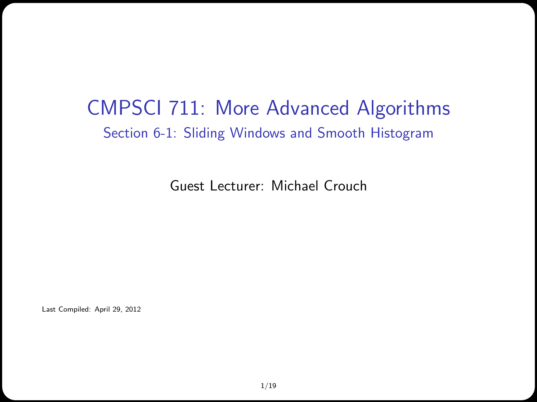#### CMPSCI 711: More Advanced Algorithms Section 6-1: Sliding Windows and Smooth Histogram

Guest Lecturer: Michael Crouch

Last Compiled: April 29, 2012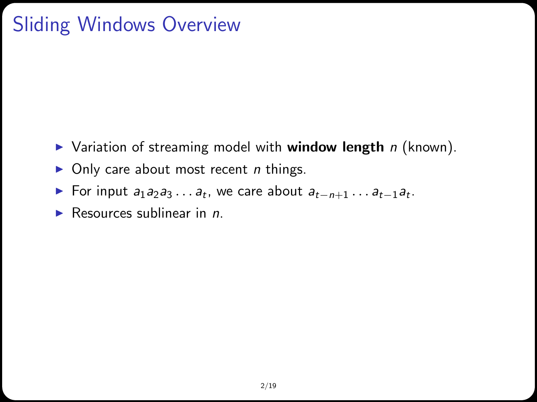# Sliding Windows Overview

- $\triangleright$  Variation of streaming model with window length n (known).
- $\triangleright$  Only care about most recent *n* things.
- ► For input  $a_1 a_2 a_3 \ldots a_t$ , we care about  $a_{t-n+1} \ldots a_{t-1} a_t$ .
- Resources sublinear in  $n$ .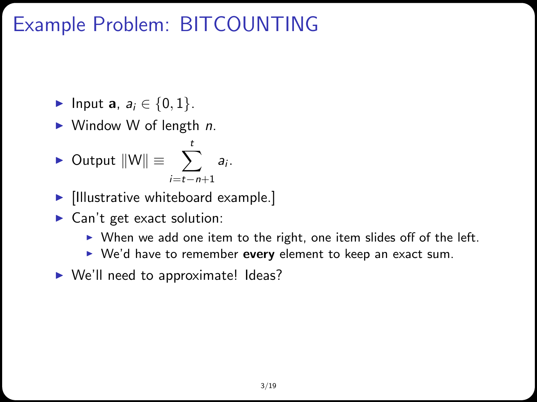## Example Problem: BITCOUNTING

- $\blacktriangleright$  Input a,  $a_i \in \{0, 1\}$ .
- $\triangleright$  Window W of length *n*.

$$
\triangleright \text{ Output } ||W|| \equiv \sum_{i=t-n+1}^{t} a_i.
$$

- $\blacktriangleright$  [Illustrative whiteboard example.]
- $\blacktriangleright$  Can't get exact solution:
	- $\triangleright$  When we add one item to the right, one item slides off of the left.
	- $\triangleright$  We'd have to remember every element to keep an exact sum.
- $\triangleright$  We'll need to approximate! Ideas?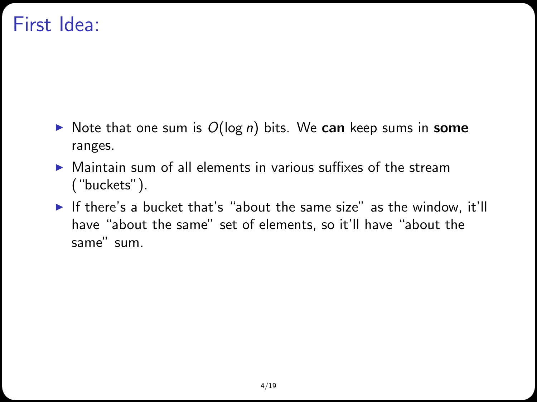#### First Idea:

- In Note that one sum is  $O(\log n)$  bits. We can keep sums in some ranges.
- $\triangleright$  Maintain sum of all elements in various suffixes of the stream ("buckets").
- If there's a bucket that's "about the same size" as the window, it'll have "about the same" set of elements, so it'll have "about the same" sum.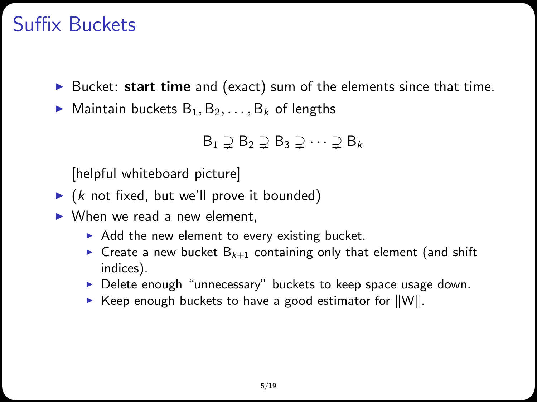#### Suffix Buckets

- $\triangleright$  Bucket: start time and (exact) sum of the elements since that time.
- $\blacktriangleright$  Maintain buckets  $B_1, B_2, \ldots, B_k$  of lengths

$$
B_1 \supsetneq B_2 \supsetneq B_3 \supsetneq \cdots \supsetneq B_k
$$

[helpful whiteboard picture]

- $\triangleright$  (k not fixed, but we'll prove it bounded)
- $\triangleright$  When we read a new element,
	- $\triangleright$  Add the new element to every existing bucket.
	- For Create a new bucket  $B_{k+1}$  containing only that element (and shift indices).
	- $\triangleright$  Delete enough "unnecessary" buckets to keep space usage down.
	- $\triangleright$  Keep enough buckets to have a good estimator for  $\|W\|$ .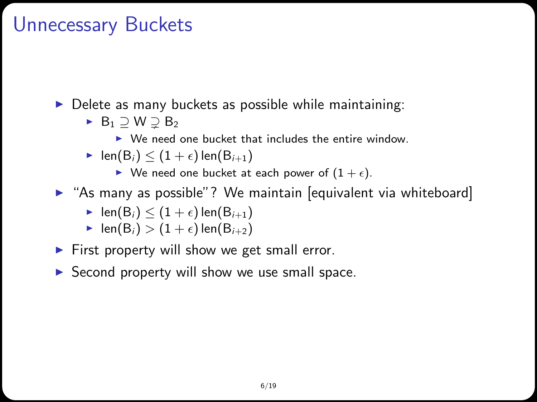#### Unnecessary Buckets

 $\triangleright$  Delete as many buckets as possible while maintaining:

- $\blacktriangleright$  B<sub>1</sub>  $\supseteq$  W  $\supsetneq$  B<sub>2</sub>
	- $\triangleright$  We need one bucket that includes the entire window.

$$
\text{I} \text{len}(B_i) \leq (1+\epsilon) \text{len}(B_{i+1})
$$

- $\blacktriangleright$  We need one bucket at each power of  $(1 + \epsilon)$ .
- $\triangleright$  "As many as possible"? We maintain [equivalent via whiteboard]

$$
\blacktriangleright \ \mathsf{len}(B_i) \leq (1+\epsilon)\mathsf{len}(B_{i+1})
$$

- len(B<sub>i</sub>) >  $(1 + \epsilon)$  len(B<sub>i+2</sub>)
- $\blacktriangleright$  First property will show we get small error.
- $\triangleright$  Second property will show we use small space.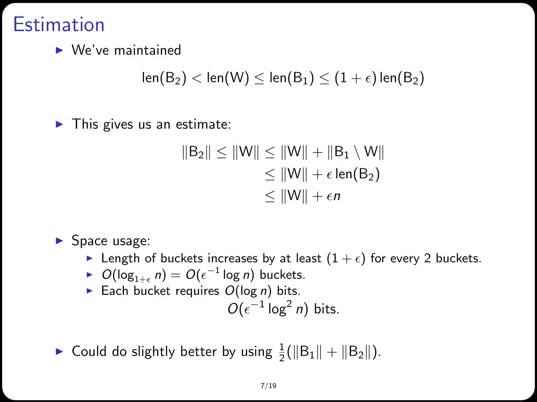#### **Estimation**

 $\blacktriangleright$  We've maintained

 $len(B_2)$  <  $len(W)$  <  $len(B_1)$  <  $(1 + \epsilon)$   $len(B_2)$ 

 $\blacktriangleright$  This gives us an estimate:

$$
||B_2|| \le ||W|| \le ||W|| + ||B_1 \setminus W||
$$
  
\n
$$
\le ||W|| + \epsilon \operatorname{len}(B_2)
$$
  
\n
$$
\le ||W|| + \epsilon n
$$

 $\blacktriangleright$  Space usage:

- Elength of buckets increases by at least  $(1 + \epsilon)$  for every 2 buckets.
- ►  $O(log_{1+\epsilon} n) = O(\epsilon^{-1} \log n)$  buckets.
- Each bucket requires  $O(\log n)$  bits.

$$
O(\epsilon^{-1} \log^2 n) \text{ bits.}
$$

▶ Could do slightly better by using  $\frac{1}{2}(\|\mathsf{B}_1\| + \|\mathsf{B}_2\|)$ .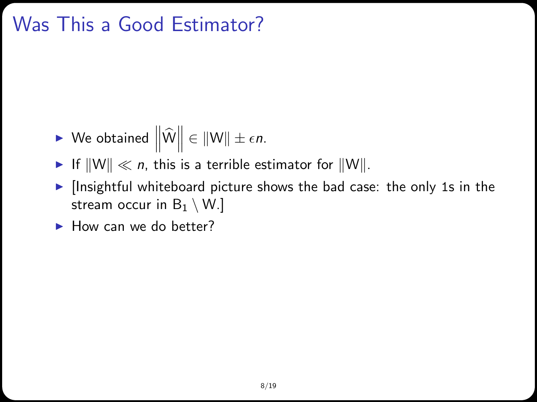## Was This a Good Estimator?

- $\blacktriangleright$  We obtained  $\left\|\widehat{W}\right\| \in \|W\| \pm \epsilon n$ .
- If  $\|W\| \ll n$ , this is a terrible estimator for  $\|W\|$ .
- $\blacktriangleright$  [Insightful whiteboard picture shows the bad case: the only 1s in the stream occur in  $B_1 \setminus W$ .]
- $\blacktriangleright$  How can we do better?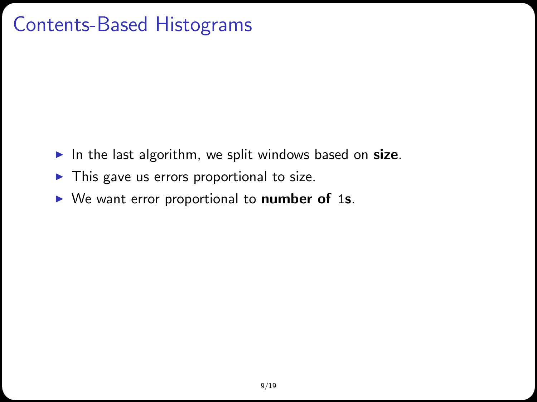## Contents-Based Histograms

- In the last algorithm, we split windows based on size.
- $\blacktriangleright$  This gave us errors proportional to size.
- $\triangleright$  We want error proportional to number of 1s.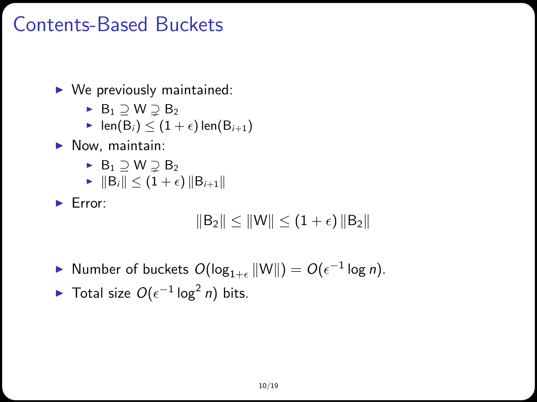### Contents-Based Buckets

 $\triangleright$  We previously maintained:

- $\blacktriangleright$  B<sub>1</sub>  $\supseteq$  W  $\supsetneq$  B<sub>2</sub>
- len(B<sub>i</sub>)  $\leq$  (1 +  $\epsilon$ ) len(B<sub>i+1</sub>)
- $\blacktriangleright$  Now, maintain:
	- $\blacktriangleright$  B<sub>1</sub>  $\supset$  W  $\supset$  B<sub>2</sub>
	- $\blacktriangleright \|\mathsf{B}_{i}\| \leq (1+\epsilon) \|\mathsf{B}_{i+1}\|$

 $\blacktriangleright$  Error:

$$
\left\|B_2\right\|\leq\left\|W\right\|\leq\left(1+\epsilon\right)\left\|B_2\right\|
$$

▶ Number of buckets  $O(\log_{1+\epsilon} ||W||) = O(\epsilon^{-1} \log n)$ .

► Total size 
$$
O(\epsilon^{-1} \log^2 n)
$$
 bits.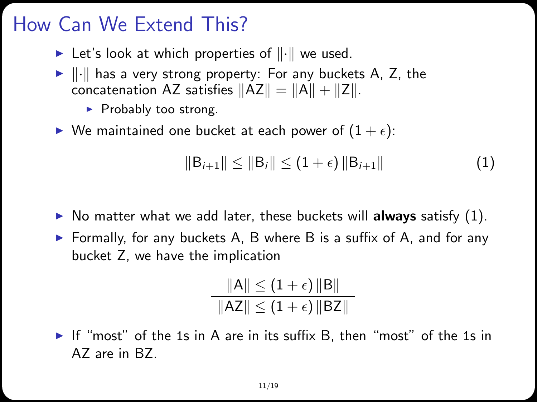## How Can We Extend This?

- In Let's look at which properties of  $\|\cdot\|$  we used.
- $\blacktriangleright$   $\|\cdot\|$  has a very strong property: For any buckets A, Z, the concatenation AZ satisfies  $||AZ|| = ||A|| + ||Z||$ .
	- $\blacktriangleright$  Probably too strong.
- $\blacktriangleright$  We maintained one bucket at each power of  $(1 + \epsilon)$ :

<span id="page-10-0"></span>
$$
||B_{i+1}|| \le ||B_i|| \le (1+\epsilon) ||B_{i+1}|| \tag{1}
$$

- $\triangleright$  No matter what we add later, these buckets will **always** satisfy [\(1\)](#page-10-0).
- $\triangleright$  Formally, for any buckets A, B where B is a suffix of A, and for any bucket Z, we have the implication

$$
\frac{\|A\| \leq (1+\epsilon) \|B\|}{\|AZ\| \leq (1+\epsilon) \|BZ\|}
$$

If "most" of the 1s in A are in its suffix B, then "most" of the 1s in AZ are in BZ.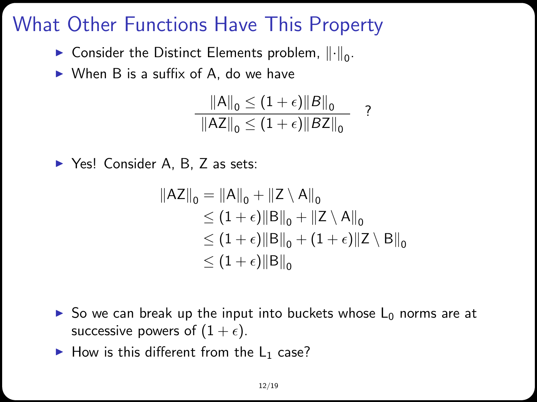## What Other Functions Have This Property

- $\blacktriangleright$  Consider the Distinct Elements problem,  $\lVert \cdot \rVert_0$ .
- $\triangleright$  When B is a suffix of A, do we have

$$
\frac{\|A\|_{0} \leq (1+\epsilon)\|B\|_{0}}{\|AZ\|_{0} \leq (1+\epsilon)\|BZ\|_{0}} \quad ?
$$

▶ Yes! Consider A, B, Z as sets:

$$
||AZ||_0 = ||A||_0 + ||Z \setminus A||_0
$$
  
\n
$$
\leq (1 + \epsilon) ||B||_0 + ||Z \setminus A||_0
$$
  
\n
$$
\leq (1 + \epsilon) ||B||_0 + (1 + \epsilon) ||Z \setminus B||_0
$$
  
\n
$$
\leq (1 + \epsilon) ||B||_0
$$

- $\triangleright$  So we can break up the input into buckets whose  $L_0$  norms are at successive powers of  $(1 + \epsilon)$ .
- $\blacktriangleright$  How is this different from the L<sub>1</sub> case?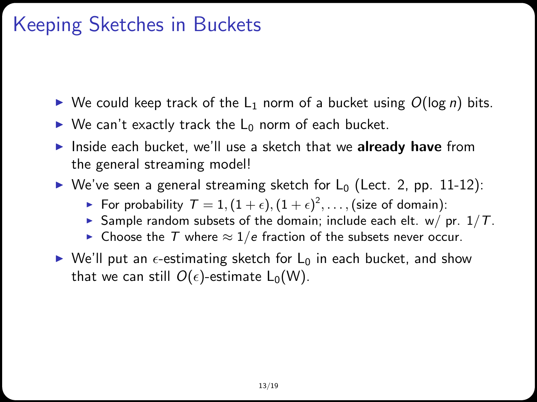## Keeping Sketches in Buckets

- $\triangleright$  We could keep track of the L<sub>1</sub> norm of a bucket using  $O(\log n)$  bits.
- $\triangleright$  We can't exactly track the L<sub>0</sub> norm of each bucket.
- Inside each bucket, we'll use a sketch that we **already have** from the general streaming model!
- $\triangleright$  We've seen a general streaming sketch for L<sub>0</sub> (Lect. 2, pp. 11-12):
	- $\blacktriangleright$  For probability  $\mathcal{T} = 1, (1+\epsilon), (1+\epsilon)^2, \ldots,$  (size of domain):
	- Sample random subsets of the domain; include each elt. w/ pr.  $1/T$ .
	- ► Choose the T where  $\approx 1/e$  fraction of the subsets never occur.
- $\triangleright$  We'll put an  $\epsilon$ -estimating sketch for L<sub>0</sub> in each bucket, and show that we can still  $O(\epsilon)$ -estimate L<sub>0</sub>(W).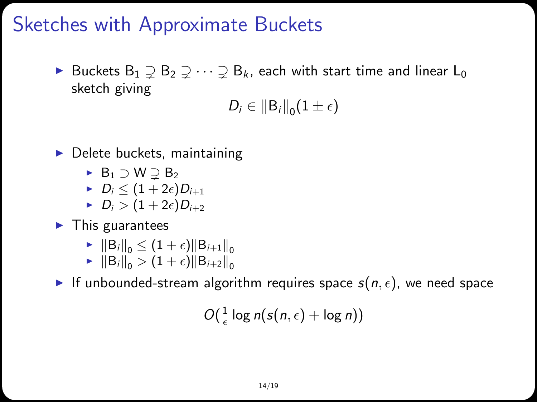#### Sketches with Approximate Buckets

▶ Buckets  $B_1 \supseteq B_2 \supseteq \cdots \supseteq B_k$ , each with start time and linear  $L_0$ sketch giving

 $D_i \in \|B_i\|_0 (1 \pm \epsilon)$ 

- $\blacktriangleright$  Delete buckets, maintaining
	- $\rightarrow$  B<sub>1</sub>  $\ni$  W  $\ni$  B<sub>2</sub>
	- $D_i \leq (1+2\epsilon)D_{i+1}$
	- $D_i > (1 + 2\epsilon)D_{i+2}$
- $\blacktriangleright$  This guarantees
	- $\blacktriangleright \|\mathsf{B}_{i}\|_{0} \leq (1+\epsilon)\|\mathsf{B}_{i+1}\|_{0}$
	- $\blacktriangleright$   $||B_i||_0 > (1 + \epsilon) ||B_{i+2}||_0$

If unbounded-stream algorithm requires space  $s(n, \epsilon)$ , we need space

$$
O(\tfrac{1}{\epsilon}\log n(s(n,\epsilon)+\log n))
$$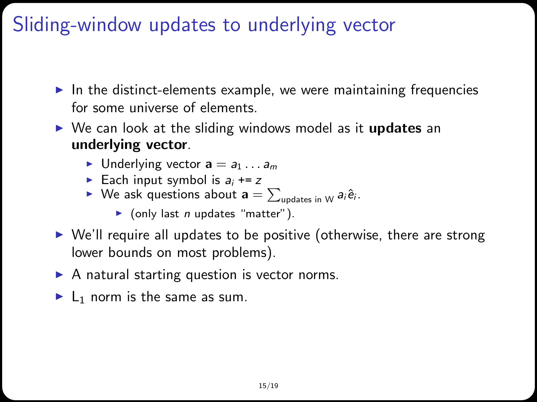## Sliding-window updates to underlying vector

- $\blacktriangleright$  In the distinct-elements example, we were maintaining frequencies for some universe of elements.
- $\triangleright$  We can look at the sliding windows model as it **updates** an underlying vector.
	- **Inderlying vector**  $a = a_1 \dots a_m$
	- Each input symbol is  $a_i$  += z
	- ▶ We ask questions about  $\mathbf{a} = \sum_{\mathsf{update} \text{ in } \mathsf{W}} a_i \hat{\mathsf{e}}_i$ .
		- $\triangleright$  (only last *n* updates "matter").
- $\triangleright$  We'll require all updates to be positive (otherwise, there are strong lower bounds on most problems).
- $\triangleright$  A natural starting question is vector norms.
- $\blacktriangleright$  L<sub>1</sub> norm is the same as sum.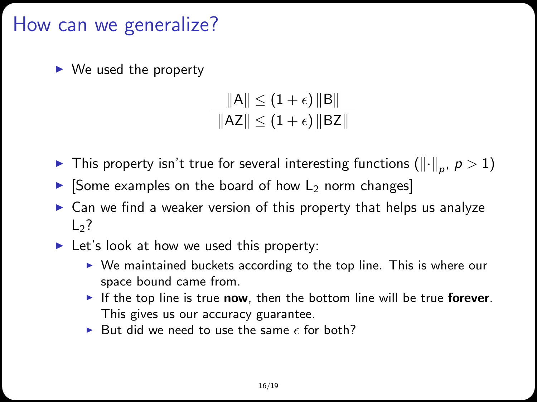#### How can we generalize?

 $\triangleright$  We used the property

$$
\frac{\|A\| \leq (1+\epsilon) \, \|B\|}{\|AZ\| \leq (1+\epsilon) \, \|BZ\|}
$$

- $\blacktriangleright$  This property isn't true for several interesting functions  $(\lVert \cdot \rVert_p, \, p > 1)$
- $\triangleright$  [Some examples on the board of how L<sub>2</sub> norm changes]
- $\triangleright$  Can we find a weaker version of this property that helps us analyze  $L<sub>2</sub>$ ?
- $\blacktriangleright$  Let's look at how we used this property:
	- $\triangleright$  We maintained buckets according to the top line. This is where our space bound came from.
	- If the top line is true now, then the bottom line will be true forever. This gives us our accuracy guarantee.
	- In But did we need to use the same  $\epsilon$  for both?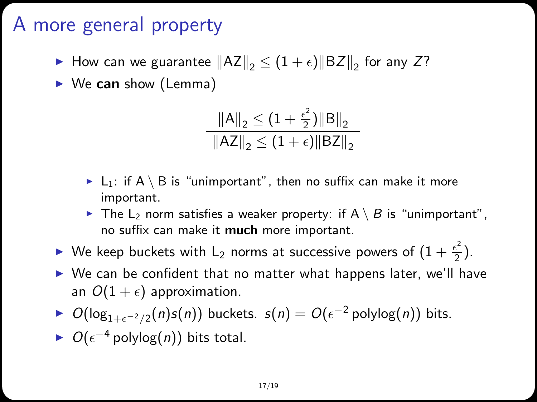## A more general property

▶ How can we guarantee  $\|{\sf AZ}\|_2 \le (1+\epsilon) \|{\sf BZ}\|_2$  for any Z?

 $\triangleright$  We can show (Lemma)

$$
\frac{\|A\|_2 \le (1 + \frac{\epsilon^2}{2}) \|B\|_2}{\|AZ\|_2 \le (1 + \epsilon) \|BZ\|_2}
$$

- $\blacktriangleright$  L<sub>1</sub>: if A \ B is "unimportant", then no suffix can make it more important.
- $\triangleright$  The L<sub>2</sub> norm satisfies a weaker property: if A \ B is "unimportant", no suffix can make it much more important.
- $\blacktriangleright$  We keep buckets with  ${\mathsf L}_2$  norms at successive powers of  $(1+\frac{\epsilon^2}{2})$  $\frac{\epsilon}{2}$ ).
- $\triangleright$  We can be confident that no matter what happens later, we'll have an  $O(1 + \epsilon)$  approximation.
- ►  $O(log_{1+\epsilon^{-2}/2}(n)s(n))$  buckets.  $s(n) = O(\epsilon^{-2}$  polylog $(n))$  bits.
- $\triangleright$   $O(\epsilon^{-4}$  polylog(n)) bits total.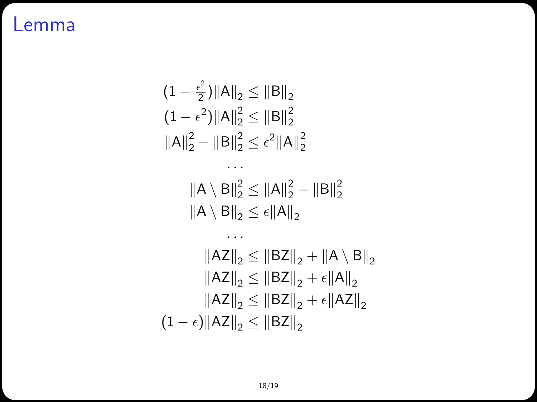#### Lemma

$$
(1 - \frac{\epsilon^2}{2}) ||A||_2 \le ||B||_2
$$
  
\n
$$
(1 - \epsilon^2) ||A||_2^2 \le ||B||_2^2
$$
  
\n
$$
||A||_2^2 - ||B||_2^2 \le \epsilon^2 ||A||_2^2
$$
  
\n...  
\n
$$
||A \setminus B||_2^2 \le ||A||_2^2 - ||B||_2^2
$$
  
\n
$$
||A \setminus B||_2 \le \epsilon ||A||_2
$$
  
\n...  
\n
$$
||AZ||_2 \le ||BZ||_2 + ||A \setminus B||_2
$$
  
\n
$$
||AZ||_2 \le ||BZ||_2 + \epsilon ||A||_2
$$
  
\n
$$
||AZ||_2 \le ||BZ||_2 + \epsilon ||AZ||_2
$$
  
\n
$$
(1 - \epsilon) ||AZ||_2 \le ||BZ||_2
$$